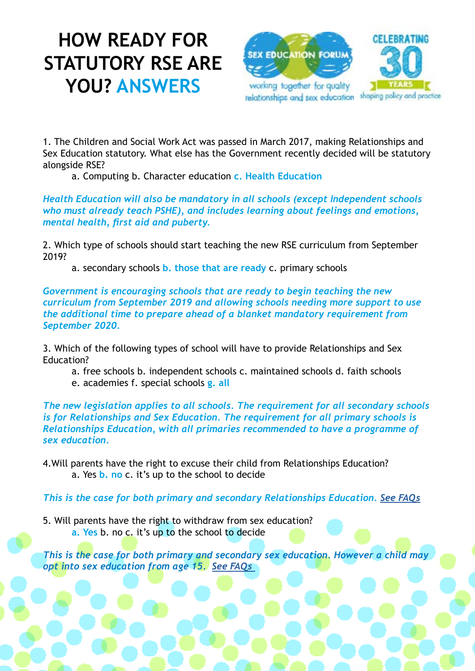## **HOW READY FOR STATUTORY RSE ARE YOU? ANSWERS**



1. The Children and Social Work Act was passed in March 2017, making Relationships and Sex Education statutory. What else has the Government recently decided will be statutory alongside RSE?

a. Computing b. Character education **c. Health Education**

*Health Education will also be mandatory in all schools (except Independent schools who must already teach PSHE), and includes learning about feelings and emotions, mental health, first aid and puberty.* 

2. Which type of schools should start teaching the new RSE curriculum from September 2019?

a. secondary schools **b. those that are ready** c. primary schools

*Government is encouraging schools that are ready to begin teaching the new curriculum from September 2019 and allowing schools needing more support to use the additional time to prepare ahead of a blanket mandatory requirement from September 2020.* 

3. Which of the following types of school will have to provide Relationships and Sex Education?

a. free schools b. independent schools c. maintained schools d. faith schools

e. academies f. special schools **g. all**

*The new legislation applies to all schools. The requirement for all secondary schools is for Relationships and Sex Education. The requirement for all primary schools is Relationships Education, with all primaries recommended to have a programme of sex education.* 

4.Will parents have the right to excuse their child from Relationships Education? a. Yes **b. no** c. it's up to the school to decide

*This is the case for both primary and secondary Relationships Education. [See FAQs](http://www.sexeducationforum.org.uk/resources/frequently-asked-questions)*

5. Will parents have the right to withdraw from sex education? **a. Yes** b. no c. it's up to the school to decide

*This is the case for both primary and secondary sex education. However a child may opt into sex education from age 15. [See FAQs](http://www.sexeducationforum.org.uk/resources/frequently-asked-questions)*